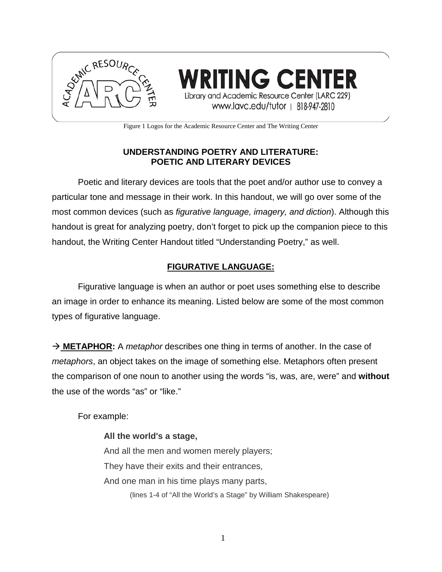

**TING CENTER** Library and Academic Resource Center (LARC 229) www.lavc.edu/tutor | 818-947-2810

Figure 1 Logos for the Academic Resource Center and The Writing Center

# **UNDERSTANDING POETRY AND LITERATURE: POETIC AND LITERARY DEVICES**

Poetic and literary devices are tools that the poet and/or author use to convey a particular tone and message in their work. In this handout, we will go over some of the most common devices (such as *figurative language, imagery, and diction*). Although this handout is great for analyzing poetry, don't forget to pick up the companion piece to this handout, the Writing Center Handout titled "Understanding Poetry," as well.

## **FIGURATIVE LANGUAGE:**

Figurative language is when an author or poet uses something else to describe an image in order to enhance its meaning. Listed below are some of the most common types of figurative language.

 **METAPHOR:** A *metaphor* describes one thing in terms of another. In the case of *metaphors*, an object takes on the image of something else. Metaphors often present the comparison of one noun to another using the words "is, was, are, were" and **without** the use of the words "as" or "like."

For example:

**All the world's a stage,** And all the men and women merely players; They have their exits and their entrances, And one man in his time plays many parts, (lines 1-4 of "All the World's a Stage" by William Shakespeare)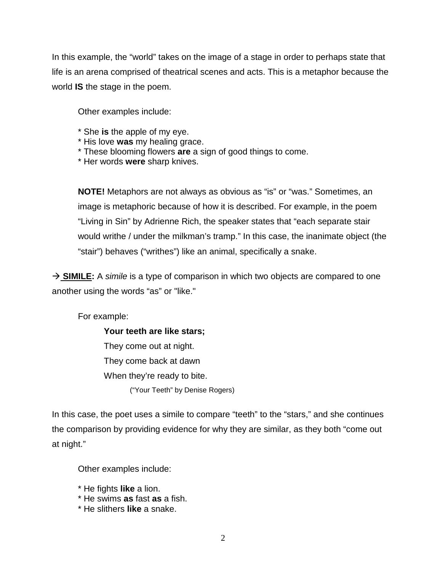In this example, the "world" takes on the image of a stage in order to perhaps state that life is an arena comprised of theatrical scenes and acts. This is a metaphor because the world **IS** the stage in the poem.

Other examples include:

- \* She **is** the apple of my eye.
- \* His love **was** my healing grace.
- \* These blooming flowers **are** a sign of good things to come.
- \* Her words **were** sharp knives.

**NOTE!** Metaphors are not always as obvious as "is" or "was." Sometimes, an image is metaphoric because of how it is described. For example, in the poem "Living in Sin" by Adrienne Rich, the speaker states that "each separate stair would writhe / under the milkman's tramp." In this case, the inanimate object (the "stair") behaves ("writhes") like an animal, specifically a snake.

→ **SIMILE:** A *simile* is a type of comparison in which two objects are compared to one another using the words "as" or "like."

For example:

**Your teeth are like stars;** They come out at night. They come back at dawn When they're ready to bite. ("Your Teeth" by Denise Rogers)

In this case, the poet uses a simile to compare "teeth" to the "stars," and she continues the comparison by providing evidence for why they are similar, as they both "come out at night."

Other examples include:

- \* He fights **like** a lion.
- \* He swims **as** fast **as** a fish.
- \* He slithers **like** a snake.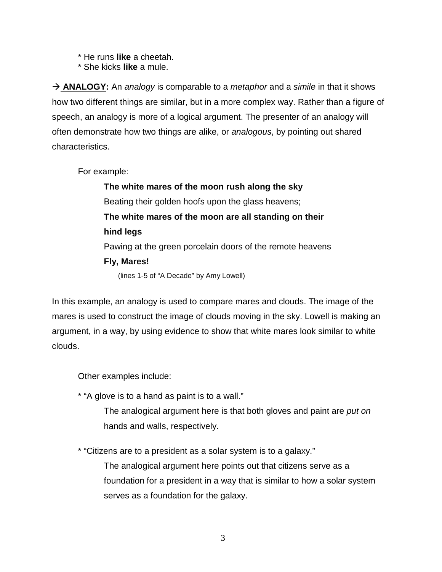- \* He runs **like** a cheetah.
- \* She kicks **like** a mule.

→ **ANALOGY:** An *analogy* is comparable to a *metaphor* and a *simile* in that it shows how two different things are similar, but in a more complex way. Rather than a figure of speech, an analogy is more of a logical argument. The presenter of an analogy will often demonstrate how two things are alike, or *analogous*, by pointing out shared characteristics.

For example:

**The white mares of the moon rush along the sky**  Beating their golden hoofs upon the glass heavens; **The white mares of the moon are all standing on their hind legs**  Pawing at the green porcelain doors of the remote heavens **Fly, Mares!** (lines 1-5 of "A Decade" by Amy Lowell)

In this example, an analogy is used to compare mares and clouds. The image of the mares is used to construct the image of clouds moving in the sky. Lowell is making an argument, in a way, by using evidence to show that white mares look similar to white clouds.

Other examples include:

\* "A glove is to a hand as paint is to a wall."

The analogical argument here is that both gloves and paint are *put on*  hands and walls, respectively.

\* "Citizens are to a president as a solar system is to a galaxy."

The analogical argument here points out that citizens serve as a foundation for a president in a way that is similar to how a solar system serves as a foundation for the galaxy.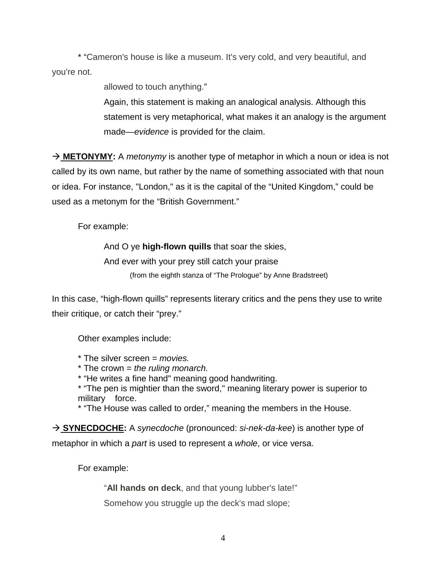\* "Cameron's house is like a museum. It's very cold, and very beautiful, and you're not.

allowed to touch anything."

Again, this statement is making an analogical analysis. Although this statement is very metaphorical, what makes it an analogy is the argument made—*evidence* is provided for the claim.

→ **METONYMY:** A *metonymy* is another type of metaphor in which a noun or idea is not called by its own name, but rather by the name of something associated with that noun or idea. For instance, "London," as it is the capital of the "United Kingdom," could be used as a metonym for the "British Government."

For example:

And O ye **high-flown quills** that soar the skies,

And ever with your prey still catch your praise

(from the eighth stanza of "The Prologue" by Anne Bradstreet)

In this case, "high-flown quills" represents literary critics and the pens they use to write their critique, or catch their "prey."

Other examples include:

\* The silver screen = *movies.*

- \* The crown = *the ruling monarch.*
- \* "He writes a fine hand" meaning good handwriting.

\* "The pen is mightier than the sword," meaning literary power is superior to military force.

\* "The House was called to order," meaning the members in the House.

→ **SYNECDOCHE:** A *synecdoche* (pronounced: *si-nek-da-kee*) is another type of metaphor in which a *part* is used to represent a *whole*, or vice versa.

For example:

"**All hands on deck**, and that young lubber's late!"

Somehow you struggle up the deck's mad slope;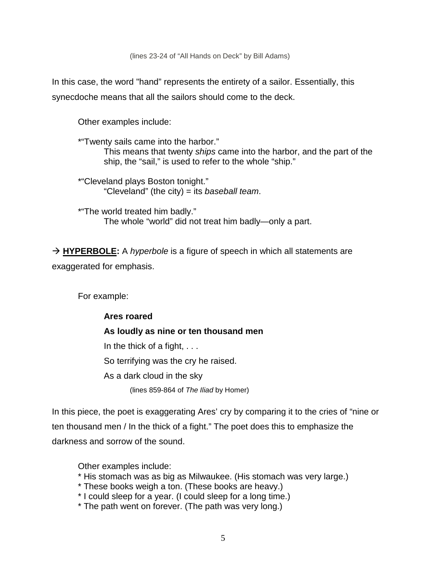(lines 23-24 of "All Hands on Deck" by Bill Adams)

In this case, the word "hand" represents the entirety of a sailor. Essentially, this synecdoche means that all the sailors should come to the deck.

Other examples include:

\*"Twenty sails came into the harbor." This means that twenty *ships* came into the harbor, and the part of the ship, the "sail," is used to refer to the whole "ship."

\*"Cleveland plays Boston tonight." "Cleveland" (the city) = its *baseball team*.

\*"The world treated him badly." The whole "world" did not treat him badly—only a part.

→ **HYPERBOLE:** A *hyperbole* is a figure of speech in which all statements are exaggerated for emphasis.

For example:

**Ares roared As loudly as nine or ten thousand men** In the thick of a fight, . . . So terrifying was the cry he raised. As a dark cloud in the sky (lines 859-864 of *The Iliad* by Homer)

In this piece, the poet is exaggerating Ares' cry by comparing it to the cries of "nine or ten thousand men / In the thick of a fight." The poet does this to emphasize the darkness and sorrow of the sound.

Other examples include:

- \* His stomach was as big as Milwaukee. (His stomach was very large.)
- \* These books weigh a ton. (These books are heavy.)
- \* I could sleep for a year. (I could sleep for a long time.)
- \* The path went on forever. (The path was very long.)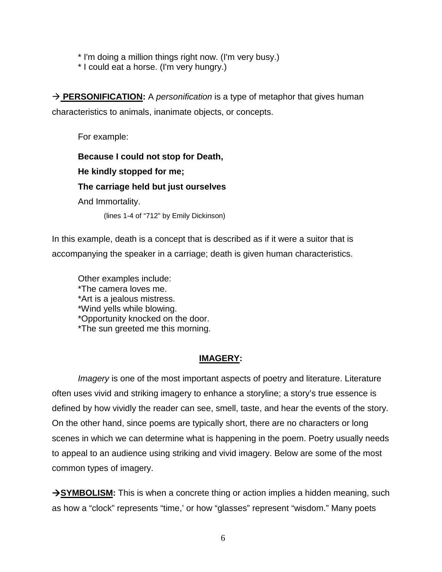\* I'm doing a million things right now. (I'm very busy.)

\* I could eat a horse. (I'm very hungry.)

**→ PERSONIFICATION:** A *personification* is a type of metaphor that gives human characteristics to animals, inanimate objects, or concepts.

For example:

**Because I could not stop for Death,**

**He kindly stopped for me;**

**The carriage held but just ourselves**

And Immortality.

(lines 1-4 of "712" by Emily Dickinson)

In this example, death is a concept that is described as if it were a suitor that is accompanying the speaker in a carriage; death is given human characteristics.

Other examples include: \*The camera loves me. \*Art is a jealous mistress. \*Wind yells while blowing. \*Opportunity knocked on the door. \*The sun greeted me this morning.

### **IMAGERY:**

*Imagery* is one of the most important aspects of poetry and literature. Literature often uses vivid and striking imagery to enhance a storyline; a story's true essence is defined by how vividly the reader can see, smell, taste, and hear the events of the story. On the other hand, since poems are typically short, there are no characters or long scenes in which we can determine what is happening in the poem. Poetry usually needs to appeal to an audience using striking and vivid imagery. Below are some of the most common types of imagery.

**SYMBOLISM:** This is when a concrete thing or action implies a hidden meaning, such as how a "clock" represents "time,' or how "glasses" represent "wisdom." Many poets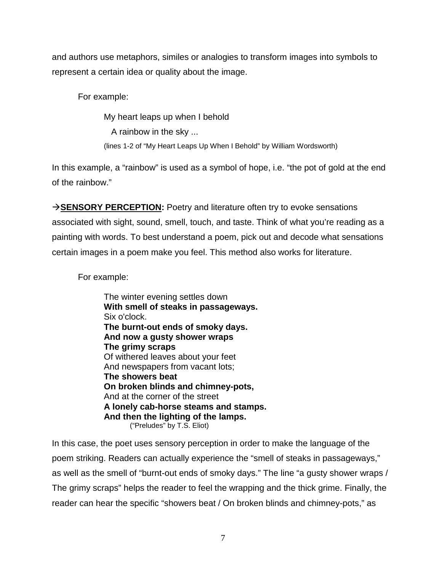and authors use metaphors, similes or analogies to transform images into symbols to represent a certain idea or quality about the image.

For example:

My heart leaps up when I behold A rainbow in the sky ... (lines 1-2 of "My Heart Leaps Up When I Behold" by William Wordsworth)

In this example, a "rainbow" is used as a symbol of hope, i.e. "the pot of gold at the end of the rainbow."

**SENSORY PERCEPTION:** Poetry and literature often try to evoke sensations associated with sight, sound, smell, touch, and taste. Think of what you're reading as a painting with words. To best understand a poem, pick out and decode what sensations certain images in a poem make you feel. This method also works for literature.

For example:

The winter evening settles down **With smell of steaks in passageways.** Six o'clock. **The burnt-out ends of smoky days. And now a gusty shower wraps The grimy scraps** Of withered leaves about your feet And newspapers from vacant lots; **The showers beat On broken blinds and chimney-pots,** And at the corner of the street **A lonely cab-horse steams and stamps. And then the lighting of the lamps.** ("Preludes" by T.S. Eliot)

In this case, the poet uses sensory perception in order to make the language of the poem striking. Readers can actually experience the "smell of steaks in passageways," as well as the smell of "burnt-out ends of smoky days." The line "a gusty shower wraps / The grimy scraps" helps the reader to feel the wrapping and the thick grime. Finally, the reader can hear the specific "showers beat / On broken blinds and chimney-pots," as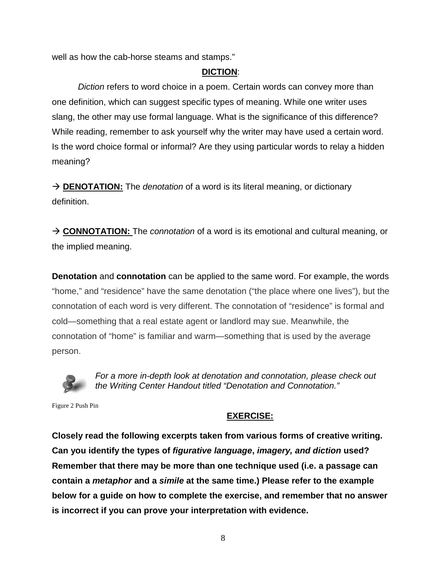well as how the cab-horse steams and stamps."

## **DICTION**:

*Diction* refers to word choice in a poem. Certain words can convey more than one definition, which can suggest specific types of meaning. While one writer uses slang, the other may use formal language. What is the significance of this difference? While reading, remember to ask yourself why the writer may have used a certain word. Is the word choice formal or informal? Are they using particular words to relay a hidden meaning?

→ **DENOTATION:** The *denotation* of a word is its literal meaning, or dictionary definition.

 **CONNOTATION:** The *connotation* of a word is its emotional and cultural meaning, or the implied meaning.

**Denotation** and **connotation** can be applied to the same word. For example, the words "home," and "residence" have the same denotation ("the place where one lives"), but the connotation of each word is very different. The connotation of "residence" is formal and cold—something that a real estate agent or landlord may sue. Meanwhile, the connotation of "home" is familiar and warm—something that is used by the average person.



*For a more in-depth look at denotation and connotation, please check out the Writing Center Handout titled "Denotation and Connotation."*

Figure 2 Push Pin

## **EXERCISE:**

**Closely read the following excerpts taken from various forms of creative writing. Can you identify the types of** *figurative language***,** *imagery, and diction* **used? Remember that there may be more than one technique used (i.e. a passage can contain a** *metaphor* **and a** *simile* **at the same time.) Please refer to the example below for a guide on how to complete the exercise, and remember that no answer is incorrect if you can prove your interpretation with evidence.**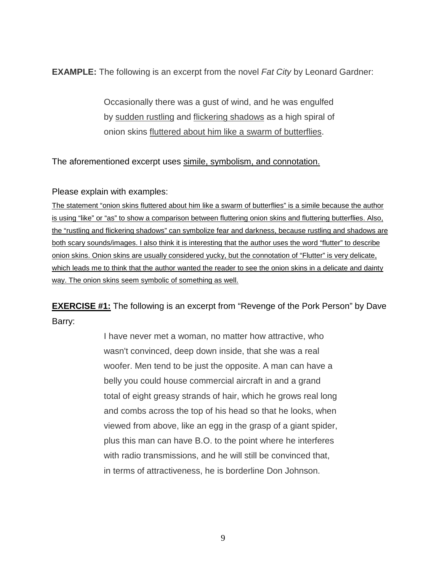**EXAMPLE:** The following is an excerpt from the novel *Fat City* by Leonard Gardner:

Occasionally there was a gust of wind, and he was engulfed by sudden rustling and flickering shadows as a high spiral of onion skins fluttered about him like a swarm of butterflies.

The aforementioned excerpt uses simile, symbolism, and connotation.

Please explain with examples:

The statement "onion skins fluttered about him like a swarm of butterflies" is a simile because the author is using "like" or "as" to show a comparison between fluttering onion skins and fluttering butterflies. Also, the "rustling and flickering shadows" can symbolize fear and darkness, because rustling and shadows are both scary sounds/images. I also think it is interesting that the author uses the word "flutter" to describe onion skins. Onion skins are usually considered yucky, but the connotation of "Flutter" is very delicate, which leads me to think that the author wanted the reader to see the onion skins in a delicate and dainty way. The onion skins seem symbolic of something as well.

**EXERCISE #1:** The following is an excerpt from "Revenge of the Pork Person" by Dave Barry:

> I have never met a woman, no matter how attractive, who wasn't convinced, deep down inside, that she was a real woofer. Men tend to be just the opposite. A man can have a belly you could house commercial aircraft in and a grand total of eight greasy strands of hair, which he grows real long and combs across the top of his head so that he looks, when viewed from above, like an egg in the grasp of a giant spider, plus this man can have B.O. to the point where he interferes with radio transmissions, and he will still be convinced that, in terms of attractiveness, he is borderline Don Johnson.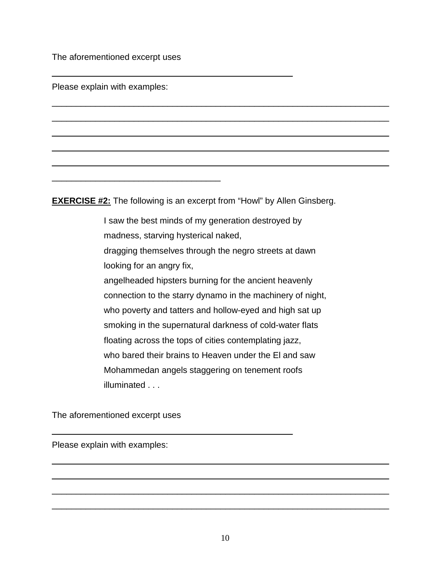The aforementioned excerpt uses

 $\frac{1}{2}$  ,  $\frac{1}{2}$  ,  $\frac{1}{2}$  ,  $\frac{1}{2}$  ,  $\frac{1}{2}$  ,  $\frac{1}{2}$  ,  $\frac{1}{2}$  ,  $\frac{1}{2}$  ,  $\frac{1}{2}$  ,  $\frac{1}{2}$  ,  $\frac{1}{2}$  ,  $\frac{1}{2}$  ,  $\frac{1}{2}$  ,  $\frac{1}{2}$  ,  $\frac{1}{2}$  ,  $\frac{1}{2}$  ,  $\frac{1}{2}$  ,  $\frac{1}{2}$  ,  $\frac{1$ 

Please explain with examples:

**EXERCISE #2:** The following is an excerpt from "Howl" by Allen Ginsberg.

 $\overline{\phantom{a}}$  , and the contribution of the contribution of the contribution of the contribution of the contribution of the contribution of the contribution of the contribution of the contribution of the contribution of the

 $\overline{\phantom{a}}$  , and the contribution of the contribution of the contribution of the contribution of the contribution of the contribution of the contribution of the contribution of the contribution of the contribution of the

 $\overline{\phantom{a}}$  , and the contribution of the contribution of the contribution of the contribution of the contribution of the contribution of the contribution of the contribution of the contribution of the contribution of the

 $\overline{\phantom{a}}$  , and the contribution of the contribution of the contribution of the contribution of the contribution of the contribution of the contribution of the contribution of the contribution of the contribution of the

 $\overline{\phantom{a}}$  , and the contribution of the contribution of the contribution of the contribution of the contribution of the contribution of the contribution of the contribution of the contribution of the contribution of the

 $\overline{\phantom{a}}$  ,  $\overline{\phantom{a}}$  ,  $\overline{\phantom{a}}$  ,  $\overline{\phantom{a}}$  ,  $\overline{\phantom{a}}$  ,  $\overline{\phantom{a}}$  ,  $\overline{\phantom{a}}$  ,  $\overline{\phantom{a}}$  ,  $\overline{\phantom{a}}$  ,  $\overline{\phantom{a}}$  ,  $\overline{\phantom{a}}$  ,  $\overline{\phantom{a}}$  ,  $\overline{\phantom{a}}$  ,  $\overline{\phantom{a}}$  ,  $\overline{\phantom{a}}$  ,  $\overline{\phantom{a}}$ 

I saw the best minds of my generation destroyed by madness, starving hysterical naked, dragging themselves through the negro streets at dawn looking for an angry fix, angelheaded hipsters burning for the ancient heavenly connection to the starry dynamo in the machinery of night, who poverty and tatters and hollow-eyed and high sat up smoking in the supernatural darkness of cold-water flats floating across the tops of cities contemplating jazz, who bared their brains to Heaven under the El and saw Mohammedan angels staggering on tenement roofs illuminated . . .

The aforementioned excerpt uses

 $\overline{\phantom{a}}$  ,  $\overline{\phantom{a}}$  ,  $\overline{\phantom{a}}$  ,  $\overline{\phantom{a}}$  ,  $\overline{\phantom{a}}$  ,  $\overline{\phantom{a}}$  ,  $\overline{\phantom{a}}$  ,  $\overline{\phantom{a}}$  ,  $\overline{\phantom{a}}$  ,  $\overline{\phantom{a}}$  ,  $\overline{\phantom{a}}$  ,  $\overline{\phantom{a}}$  ,  $\overline{\phantom{a}}$  ,  $\overline{\phantom{a}}$  ,  $\overline{\phantom{a}}$  ,  $\overline{\phantom{a}}$ 

Please explain with examples:

 $\overline{\phantom{a}}$  , and the contribution of the contribution of the contribution of the contribution of the contribution of the contribution of the contribution of the contribution of the contribution of the contribution of the

 $\overline{\phantom{a}}$  , and the contribution of the contribution of the contribution of the contribution of the contribution of the contribution of the contribution of the contribution of the contribution of the contribution of the

 $\overline{\phantom{a}}$  , and the contribution of the contribution of the contribution of the contribution of the contribution of the contribution of the contribution of the contribution of the contribution of the contribution of the

 $\overline{\phantom{a}}$  , and the contribution of the contribution of the contribution of the contribution of the contribution of the contribution of the contribution of the contribution of the contribution of the contribution of the